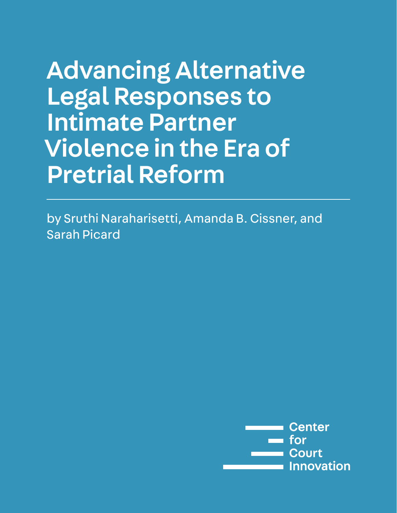# Advancing Alternative Legal Responses to Intimate Partner Violence in the Era of Pretrial Reform

by Sruthi Naraharisetti, Amanda B. Cissner, and Sarah Picard

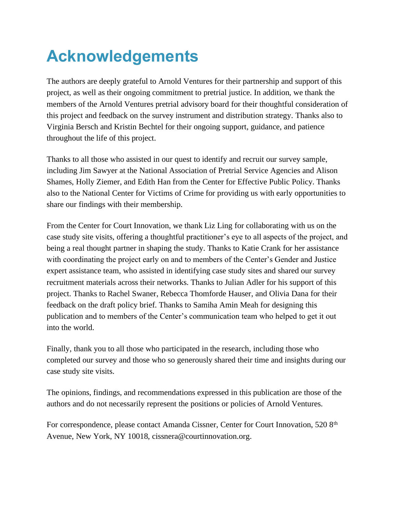# **Acknowledgements**

The authors are deeply grateful to Arnold Ventures for their partnership and support of this project, as well as their ongoing commitment to pretrial justice. In addition, we thank the members of the Arnold Ventures pretrial advisory board for their thoughtful consideration of this project and feedback on the survey instrument and distribution strategy. Thanks also to Virginia Bersch and Kristin Bechtel for their ongoing support, guidance, and patience throughout the life of this project.

Thanks to all those who assisted in our quest to identify and recruit our survey sample, including Jim Sawyer at the National Association of Pretrial Service Agencies and Alison Shames, Holly Ziemer, and Edith Han from the Center for Effective Public Policy. Thanks also to the National Center for Victims of Crime for providing us with early opportunities to share our findings with their membership.

From the Center for Court Innovation, we thank Liz Ling for collaborating with us on the case study site visits, offering a thoughtful practitioner's eye to all aspects of the project, and being a real thought partner in shaping the study. Thanks to Katie Crank for her assistance with coordinating the project early on and to members of the Center's Gender and Justice expert assistance team, who assisted in identifying case study sites and shared our survey recruitment materials across their networks. Thanks to Julian Adler for his support of this project. Thanks to Rachel Swaner, Rebecca Thomforde Hauser, and Olivia Dana for their feedback on the draft policy brief. Thanks to Samiha Amin Meah for designing this publication and to members of the Center's communication team who helped to get it out into the world.

Finally, thank you to all those who participated in the research, including those who completed our survey and those who so generously shared their time and insights during our case study site visits.

The opinions, findings, and recommendations expressed in this publication are those of the authors and do not necessarily represent the positions or policies of Arnold Ventures.

For correspondence, please contact Amanda Cissner, Center for Court Innovation, 520 8<sup>th</sup> Avenue, New York, NY 10018, cissnera@courtinnovation.org.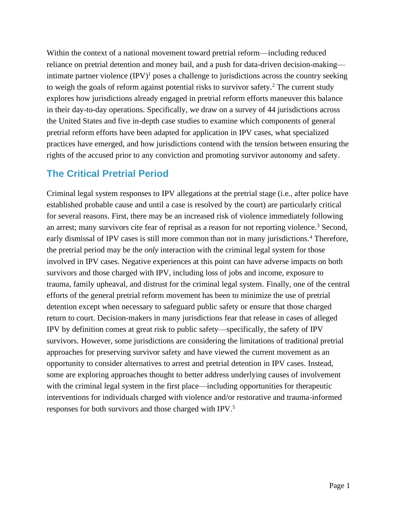Within the context of a national movement toward pretrial reform—including reduced reliance on pretrial detention and money bail, and a push for data-driven decision-making intimate partner violence (IPV) <sup>1</sup> poses a challenge to jurisdictions across the country seeking to weigh the goals of reform against potential risks to survivor safety.<sup>2</sup> The current study explores how jurisdictions already engaged in pretrial reform efforts maneuver this balance in their day-to-day operations. Specifically, we draw on a survey of 44 jurisdictions across the United States and five in-depth case studies to examine which components of general pretrial reform efforts have been adapted for application in IPV cases, what specialized practices have emerged, and how jurisdictions contend with the tension between ensuring the rights of the accused prior to any conviction and promoting survivor autonomy and safety.

## **The Critical Pretrial Period**

Criminal legal system responses to IPV allegations at the pretrial stage (i.e., after police have established probable cause and until a case is resolved by the court) are particularly critical for several reasons. First, there may be an increased risk of violence immediately following an arrest; many survivors cite fear of reprisal as a reason for not reporting violence.<sup>3</sup> Second, early dismissal of IPV cases is still more common than not in many jurisdictions.<sup>4</sup> Therefore, the pretrial period may be the *only* interaction with the criminal legal system for those involved in IPV cases. Negative experiences at this point can have adverse impacts on both survivors and those charged with IPV, including loss of jobs and income, exposure to trauma, family upheaval, and distrust for the criminal legal system. Finally, one of the central efforts of the general pretrial reform movement has been to minimize the use of pretrial detention except when necessary to safeguard public safety or ensure that those charged return to court. Decision-makers in many jurisdictions fear that release in cases of alleged IPV by definition comes at great risk to public safety—specifically, the safety of IPV survivors. However, some jurisdictions are considering the limitations of traditional pretrial approaches for preserving survivor safety and have viewed the current movement as an opportunity to consider alternatives to arrest and pretrial detention in IPV cases. Instead, some are exploring approaches thought to better address underlying causes of involvement with the criminal legal system in the first place—including opportunities for therapeutic interventions for individuals charged with violence and/or restorative and trauma-informed responses for both survivors and those charged with IPV.5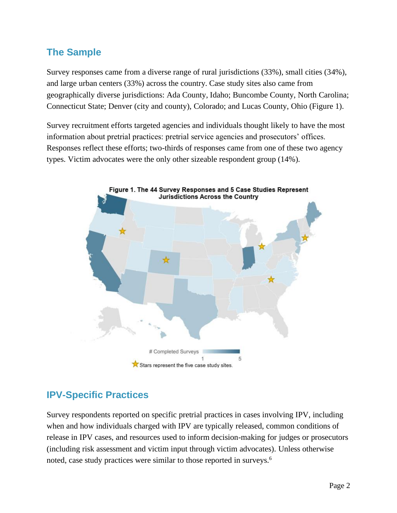# **The Sample**

Survey responses came from a diverse range of rural jurisdictions (33%), small cities (34%), and large urban centers (33%) across the country. Case study sites also came from geographically diverse jurisdictions: Ada County, Idaho; Buncombe County, North Carolina; Connecticut State; Denver (city and county), Colorado; and Lucas County, Ohio (Figure 1).

Survey recruitment efforts targeted agencies and individuals thought likely to have the most information about pretrial practices: pretrial service agencies and prosecutors' offices. Responses reflect these efforts; two-thirds of responses came from one of these two agency types. Victim advocates were the only other sizeable respondent group (14%).



# **IPV-Specific Practices**

Survey respondents reported on specific pretrial practices in cases involving IPV, including when and how individuals charged with IPV are typically released, common conditions of release in IPV cases, and resources used to inform decision-making for judges or prosecutors (including risk assessment and victim input through victim advocates). Unless otherwise noted, case study practices were similar to those reported in surveys.<sup>6</sup>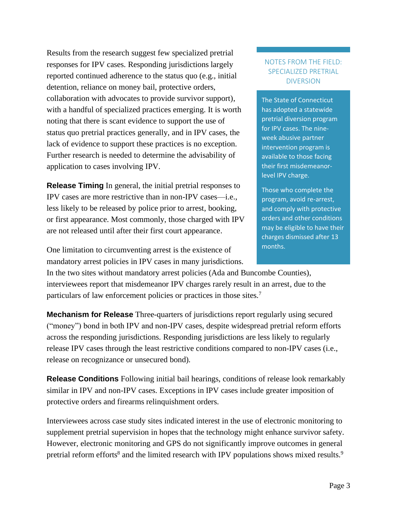Results from the research suggest few specialized pretrial responses for IPV cases. Responding jurisdictions largely reported continued adherence to the status quo (e.g., initial detention, reliance on money bail, protective orders, collaboration with advocates to provide survivor support), with a handful of specialized practices emerging. It is worth noting that there is scant evidence to support the use of status quo pretrial practices generally, and in IPV cases, the lack of evidence to support these practices is no exception. Further research is needed to determine the advisability of application to cases involving IPV.

**Release Timing** In general, the initial pretrial responses to IPV cases are more restrictive than in non-IPV cases—i.e., less likely to be released by police prior to arrest, booking, or first appearance. Most commonly, those charged with IPV are not released until after their first court appearance.

#### NOTES FROM THE FIELD: SPECIALIZED PRETRIAL DIVERSION

The State of Connecticut has adopted a statewide pretrial diversion program for IPV cases. The nineweek abusive partner intervention program is available to those facing their first misdemeanorlevel IPV charge.

Those who complete the program, avoid re-arrest, and comply with protective orders and other conditions may be eligible to have their charges dismissed after 13 months.

One limitation to circumventing arrest is the existence of mandatory arrest policies in IPV cases in many jurisdictions.

In the two sites without mandatory arrest policies (Ada and Buncombe Counties), interviewees report that misdemeanor IPV charges rarely result in an arrest, due to the particulars of law enforcement policies or practices in those sites.<sup>7</sup>

**Mechanism for Release** Three-quarters of jurisdictions report regularly using secured ("money") bond in both IPV and non-IPV cases, despite widespread pretrial reform efforts across the responding jurisdictions. Responding jurisdictions are less likely to regularly release IPV cases through the least restrictive conditions compared to non-IPV cases (i.e., release on recognizance or unsecured bond).

**Release Conditions** Following initial bail hearings, conditions of release look remarkably similar in IPV and non-IPV cases. Exceptions in IPV cases include greater imposition of protective orders and firearms relinquishment orders.

Interviewees across case study sites indicated interest in the use of electronic monitoring to supplement pretrial supervision in hopes that the technology might enhance survivor safety. However, electronic monitoring and GPS do not significantly improve outcomes in general pretrial reform efforts<sup>8</sup> and the limited research with IPV populations shows mixed results.<sup>9</sup>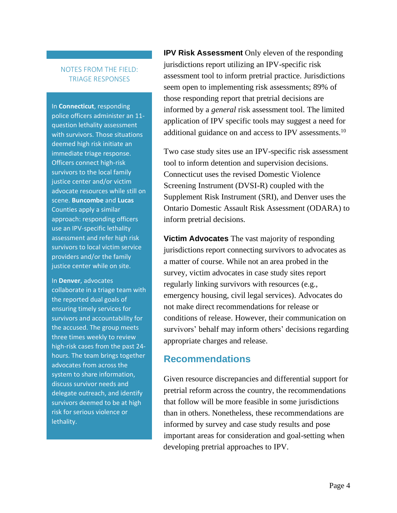#### NOTES FROM THE FIELD: TRIAGE RESPONSES

In **Connecticut**, responding police officers administer an 11 question lethality assessment with survivors. Those situations deemed high risk initiate an immediate triage response. Officers connect high-risk survivors to the local family justice center and/or victim advocate resources while still on scene. **Buncombe** and **Lucas** Counties apply a similar approach: responding officers use an IPV-specific lethality assessment and refer high risk survivors to local victim service providers and/or the family justice center while on site.

In **Denver**, advocates collaborate in a triage team with the reported dual goals of ensuring timely services for survivors and accountability for the accused. The group meets three times weekly to review high-risk cases from the past 24 hours. The team brings together advocates from across the system to share information, discuss survivor needs and delegate outreach, and identify survivors deemed to be at high risk for serious violence or lethality.

**IPV Risk Assessment** Only eleven of the responding jurisdictions report utilizing an IPV-specific risk assessment tool to inform pretrial practice. Jurisdictions seem open to implementing risk assessments; 89% of those responding report that pretrial decisions are informed by a *general* risk assessment tool. The limited application of IPV specific tools may suggest a need for additional guidance on and access to IPV assessments.<sup>10</sup>

Two case study sites use an IPV-specific risk assessment tool to inform detention and supervision decisions. Connecticut uses the revised Domestic Violence Screening Instrument (DVSI-R) coupled with the Supplement Risk Instrument (SRI), and Denver uses the Ontario Domestic Assault Risk Assessment (ODARA) to inform pretrial decisions.

**Victim Advocates** The vast majority of responding jurisdictions report connecting survivors to advocates as a matter of course. While not an area probed in the survey, victim advocates in case study sites report regularly linking survivors with resources (e.g., emergency housing, civil legal services). Advocates do not make direct recommendations for release or conditions of release. However, their communication on survivors' behalf may inform others' decisions regarding appropriate charges and release.

## **Recommendations**

Given resource discrepancies and differential support for pretrial reform across the country, the recommendations that follow will be more feasible in some jurisdictions than in others. Nonetheless, these recommendations are informed by survey and case study results and pose important areas for consideration and goal-setting when developing pretrial approaches to IPV.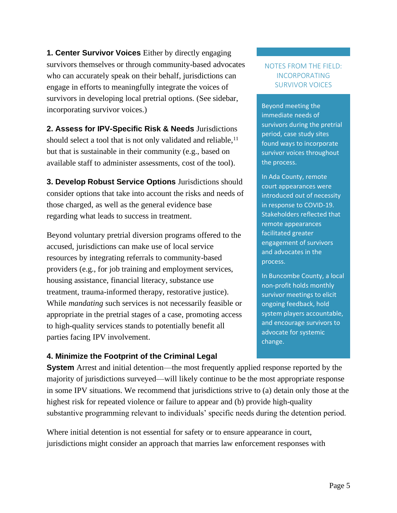**1. Center Survivor Voices** Either by directly engaging survivors themselves or through community-based advocates who can accurately speak on their behalf, jurisdictions can engage in efforts to meaningfully integrate the voices of survivors in developing local pretrial options. (See sidebar, incorporating survivor voices.)

**2. Assess for IPV-Specific Risk & Needs** Jurisdictions should select a tool that is not only validated and reliable,  $11$ but that is sustainable in their community (e.g., based on available staff to administer assessments, cost of the tool).

**3. Develop Robust Service Options** Jurisdictions should consider options that take into account the risks and needs of those charged, as well as the general evidence base regarding what leads to success in treatment.

Beyond voluntary pretrial diversion programs offered to the accused, jurisdictions can make use of local service resources by integrating referrals to community-based providers (e.g., for job training and employment services, housing assistance, financial literacy, substance use treatment, trauma-informed therapy, restorative justice). While *mandating* such services is not necessarily feasible or appropriate in the pretrial stages of a case, promoting access to high-quality services stands to potentially benefit all parties facing IPV involvement.

#### **4. Minimize the Footprint of the Criminal Legal**

**System** Arrest and initial detention—the most frequently applied response reported by the majority of jurisdictions surveyed—will likely continue to be the most appropriate response in some IPV situations. We recommend that jurisdictions strive to (a) detain only those at the highest risk for repeated violence or failure to appear and (b) provide high-quality substantive programming relevant to individuals' specific needs during the detention period.

Where initial detention is not essential for safety or to ensure appearance in court, jurisdictions might consider an approach that marries law enforcement responses with

#### NOTES FROM THE FIELD: INCORPORATING SURVIVOR VOICES

Beyond meeting the immediate needs of survivors during the pretrial period, case study sites found ways to incorporate survivor voices throughout the process.

In Ada County, remote court appearances were introduced out of necessity in response to COVID-19. Stakeholders reflected that remote appearances facilitated greater engagement of survivors and advocates in the process.

In Buncombe County, a local non-profit holds monthly survivor meetings to elicit ongoing feedback, hold system players accountable, and encourage survivors to advocate for systemic change.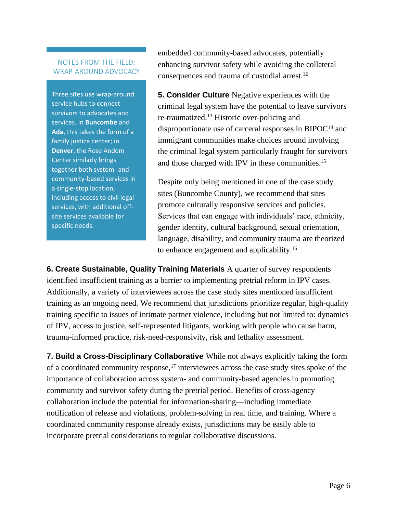#### NOTES FROM THE FIELD: WRAP-AROUND ADVOCACY

Three sites use wrap-around service hubs to connect survivors to advocates and services. In **Buncombe** and **Ada**, this takes the form of a family justice center; in **Denver**, the Rose Andom Center similarly brings together both system- and community-based services in a single-stop location, including access to civil legal services, with additional offsite services available for specific needs.

embedded community-based advocates, potentially enhancing survivor safety while avoiding the collateral consequences and trauma of custodial arrest.<sup>12</sup>

**5. Consider Culture** Negative experiences with the criminal legal system have the potential to leave survivors re-traumatized. <sup>13</sup> Historic over-policing and disproportionate use of carceral responses in  $BIPOC<sup>14</sup>$  and immigrant communities make choices around involving the criminal legal system particularly fraught for survivors and those charged with IPV in these communities.<sup>15</sup>

Despite only being mentioned in one of the case study sites (Buncombe County), we recommend that sites promote culturally responsive services and policies. Services that can engage with individuals' race, ethnicity, gender identity, cultural background, sexual orientation, language, disability, and community trauma are theorized to enhance engagement and applicability.<sup>16</sup>

**6. Create Sustainable, Quality Training Materials** A quarter of survey respondents identified insufficient training as a barrier to implementing pretrial reform in IPV cases. Additionally, a variety of interviewees across the case study sites mentioned insufficient training as an ongoing need. We recommend that jurisdictions prioritize regular, high-quality training specific to issues of intimate partner violence, including but not limited to: dynamics of IPV, access to justice, self-represented litigants, working with people who cause harm, trauma-informed practice, risk-need-responsivity, risk and lethality assessment.

**7. Build a Cross-Disciplinary Collaborative** While not always explicitly taking the form of a coordinated community response,<sup>17</sup> interviewees across the case study sites spoke of the importance of collaboration across system- and community-based agencies in promoting community and survivor safety during the pretrial period. Benefits of cross-agency collaboration include the potential for information-sharing—including immediate notification of release and violations, problem-solving in real time, and training. Where a coordinated community response already exists, jurisdictions may be easily able to incorporate pretrial considerations to regular collaborative discussions.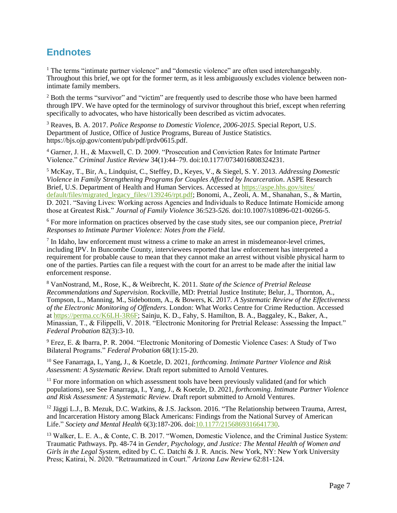# **Endnotes**

<sup>1</sup> The terms "intimate partner violence" and "domestic violence" are often used interchangeably. Throughout this brief, we opt for the former term, as it less ambiguously excludes violence between nonintimate family members.

<sup>2</sup> Both the terms "survivor" and "victim" are frequently used to describe those who have been harmed through IPV. We have opted for the terminology of survivor throughout this brief, except when referring specifically to advocates, who have historically been described as victim advocates.

<sup>3</sup> Reaves, B. A. 2017. *Police Response to Domestic Violence, 2006-2015.* Special Report, U.S. Department of Justice, Office of Justice Programs, Bureau of Justice Statistics. https://bjs.ojp.gov/content/pub/pdf/prdv0615.pdf.

<sup>4</sup> Garner, J. H., & Maxwell, C. D. 2009. "Prosecution and Conviction Rates for Intimate Partner Violence." *Criminal Justice Review* 34(1):44–79. doi:10.1177/0734016808324231.

<sup>5</sup> McKay, T., Bir, A., Lindquist, C., Steffey, D., Keyes, V., & Siegel, S. Y. 2013. *Addressing Domestic Violence in Family Strengthening Programs for Couples Affected by Incarceration*. ASPE Research Brief, U.S. Department of Health and Human Services. Accessed at [https://aspe.hhs.gov/sites/](https://aspe.hhs.gov/sites/%20default/files/migrated_legacy_files/139246/rpt.pdf)  [default/files/migrated\\_legacy\\_files//139246/rpt.pdf;](https://aspe.hhs.gov/sites/%20default/files/migrated_legacy_files/139246/rpt.pdf) Bonomi, A., Zeoli, A. M., Shanahan, S., & Martin, D. 2021. "Saving Lives: Working across Agencies and Individuals to Reduce Intimate Homicide among those at Greatest Risk." *Journal of Family Violence* 36:523*-526.* doi:10.1007/s10896-021-00266-5.

<sup>6</sup> For more information on practices observed by the case study sites, see our companion piece, *Pretrial Responses to Intimate Partner Violence: Notes from the Field*.

<sup>7</sup> In Idaho, law enforcement must witness a crime to make an arrest in misdemeanor-level crimes, including IPV. In Buncombe County, interviewees reported that law enforcement has interpreted a requirement for probable cause to mean that they cannot make an arrest without visible physical harm to one of the parties. Parties can file a request with the court for an arrest to be made after the initial law enforcement response.

<sup>8</sup> VanNostrand, M., Rose, K., & Weibrecht, K. 2011. *State of the Science of Pretrial Release Recommendations and Supervision*. Rockville, MD: Pretrial Justice Institute; Belur, J., Thornton, A., Tompson, L., Manning, M., Sidebottom, A., & Bowers, K. 2017. *A Systematic Review of the Effectiveness of the Electronic Monitoring of Offenders*. London: What Works Centre for Crime Reduction. Accessed a[t https://perma.cc/K6LH-3R6F;](https://perma.cc/K6LH-3R6F) Sainju, K. D., Fahy, S. Hamilton, B. A., Baggaley, K., Baker, A., Minassian, T., & Filippelli, V. 2018. "Electronic Monitoring for Pretrial Release: Assessing the Impact." *Federal Probation* 82(3):3-10.

<sup>9</sup> Erez, E. & Ibarra, P. R. 2004. "Electronic Monitoring of Domestic Violence Cases: A Study of Two Bilateral Programs." *Federal Probation* 68(1):15-20.

<sup>10</sup> See Fanarraga, I., Yang, J., & Koetzle, D. 2021, *forthcoming*. *Intimate Partner Violence and Risk Assessment: A Systematic Review.* Draft report submitted to Arnold Ventures.

 $11$  For more information on which assessment tools have been previously validated (and for which populations), see See Fanarraga, I., Yang, J., & Koetzle, D. 2021, *forthcoming*. *Intimate Partner Violence and Risk Assessment: A Systematic Review.* Draft report submitted to Arnold Ventures.

<sup>12</sup> Jäggi L.J., B. Mezuk, D.C. Watkins, & J.S. Jackson. 2016. "The Relationship between Trauma, Arrest, and Incarceration History among Black Americans: Findings from the National Survey of American Life." *Society and Mental Health* 6(3):187-206. doi[:10.1177/2156869316641730.](https://doi.org/10.1177/2156869316641730)

<sup>13</sup> Walker, L. E. A., & Conte, C. B. 2017. "Women, Domestic Violence, and the Criminal Justice System: Traumatic Pathways. Pp. 48-74 in *Gender, Psychology, and Justice: The Mental Health of Women and Girls in the Legal System*, edited by C. C. Datchi & J. R. Ancis. New York, NY: New York University Press; Katirai, N. 2020. "Retraumatized in Court." *Arizona Law Review* 62:81-124.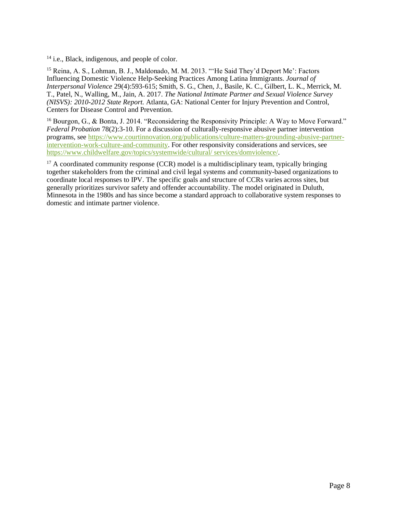<sup>14</sup> i.e., Black, indigenous, and people of color.

<sup>15</sup> Reina, A. S., Lohman, B. J., Maldonado, M. M. 2013. "'He Said They'd Deport Me': Factors Influencing Domestic Violence Help-Seeking Practices Among Latina Immigrants. *Journal of Interpersonal Violence* 29(4):593-615; Smith, S. G., Chen, J., Basile, K. C., Gilbert, L. K., Merrick, M. T., Patel, N., Walling, M., Jain, A. 2017. *The National Intimate Partner and Sexual Violence Survey (NISVS): 2010-2012 State Report.* Atlanta, GA: National Center for Injury Prevention and Control, Centers for Disease Control and Prevention.

<sup>16</sup> Bourgon, G., & Bonta, J. 2014. "Reconsidering the Responsivity Principle: A Way to Move Forward." *Federal Probation* 78(2):3-10. For a discussion of culturally-responsive abusive partner intervention programs, see [https://www.courtinnovation.org/publications/culture-matters-grounding-abusive-partner](https://www.courtinnovation.org/publications/culture-matters-grounding-abusive-partner-intervention-work-culture-and-community)[intervention-work-culture-and-community.](https://www.courtinnovation.org/publications/culture-matters-grounding-abusive-partner-intervention-work-culture-and-community) For other responsivity considerations and services, see [https://www.childwelfare.gov/topics/systemwide/cultural/ services/domviolence/.](https://www.childwelfare.gov/topics/systemwide/cultural/%20services/domviolence/)

 $17$  A coordinated community response (CCR) model is a multidisciplinary team, typically bringing together stakeholders from the criminal and civil legal systems and community-based organizations to coordinate local responses to IPV. The specific goals and structure of CCRs varies across sites, but generally prioritizes survivor safety and offender accountability. The model originated in Duluth, Minnesota in the 1980s and has since become a standard approach to collaborative system responses to domestic and intimate partner violence.